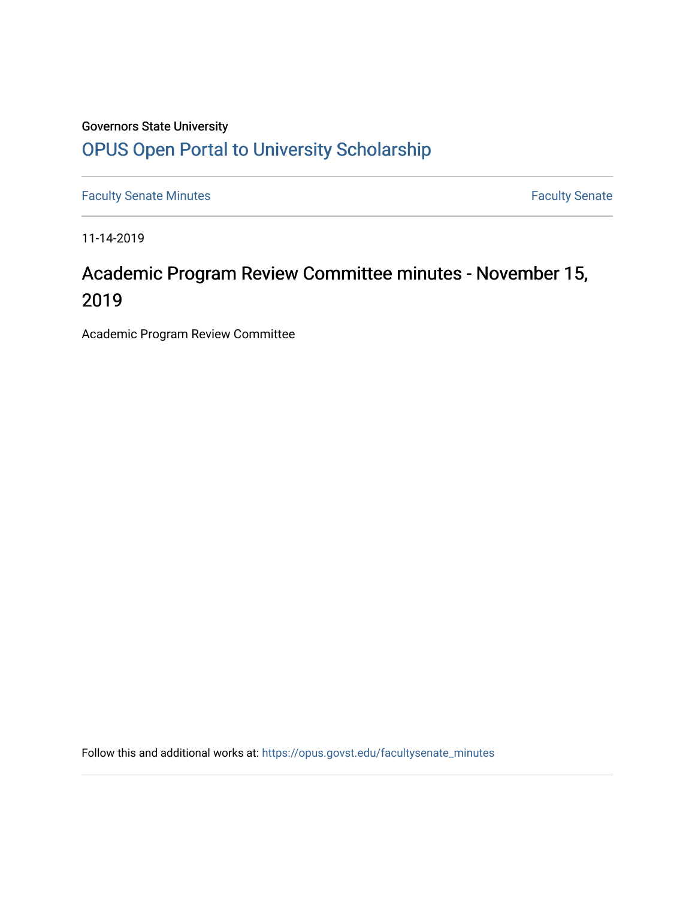## Governors State University [OPUS Open Portal to University Scholarship](https://opus.govst.edu/)

[Faculty Senate Minutes](https://opus.govst.edu/facultysenate_minutes) **Faculty** Senate Minutes

11-14-2019

# Academic Program Review Committee minutes - November 15, 2019

Academic Program Review Committee

Follow this and additional works at: [https://opus.govst.edu/facultysenate\\_minutes](https://opus.govst.edu/facultysenate_minutes?utm_source=opus.govst.edu%2Ffacultysenate_minutes%2F195&utm_medium=PDF&utm_campaign=PDFCoverPages)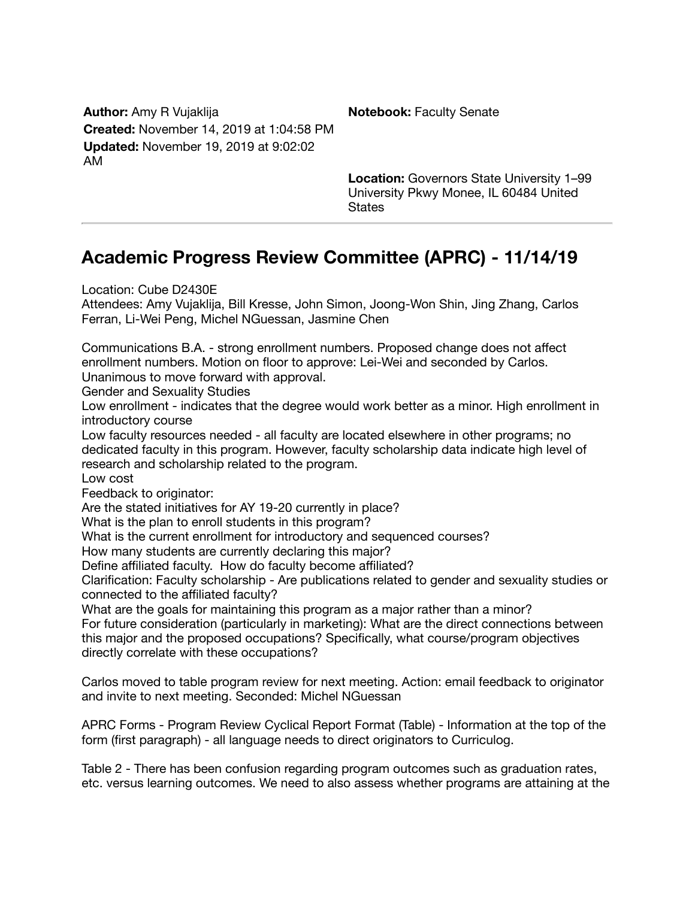**Author:** Amy R Vujaklija **Notebook:** Faculty Senate **Created:** November 14, 2019 at 1:04:58 PM **Updated:** November 19, 2019 at 9:02:02 AM

**Location:** Governors State University 1–99 University Pkwy Monee, IL 60484 United **States** 

## **Academic Progress Review Committee (APRC) - 11/14/19**

Location: Cube D2430E

Attendees: Amy Vujaklija, Bill Kresse, John Simon, Joong-Won Shin, Jing Zhang, Carlos Ferran, Li-Wei Peng, Michel NGuessan, Jasmine Chen

Communications B.A. - strong enrollment numbers. Proposed change does not affect enrollment numbers. Motion on floor to approve: Lei-Wei and seconded by Carlos. Unanimous to move forward with approval.

Gender and Sexuality Studies

Low enrollment - indicates that the degree would work better as a minor. High enrollment in introductory course

Low faculty resources needed - all faculty are located elsewhere in other programs; no dedicated faculty in this program. However, faculty scholarship data indicate high level of research and scholarship related to the program.

Low cost

Feedback to originator:

Are the stated initiatives for AY 19-20 currently in place?

What is the plan to enroll students in this program?

What is the current enrollment for introductory and sequenced courses?

How many students are currently declaring this major?

Define affiliated faculty. How do faculty become affiliated?

Clarification: Faculty scholarship - Are publications related to gender and sexuality studies or connected to the affiliated faculty?

What are the goals for maintaining this program as a major rather than a minor?

For future consideration (particularly in marketing): What are the direct connections between this major and the proposed occupations? Specifically, what course/program objectives directly correlate with these occupations?

Carlos moved to table program review for next meeting. Action: email feedback to originator and invite to next meeting. Seconded: Michel NGuessan

APRC Forms - Program Review Cyclical Report Format (Table) - Information at the top of the form (first paragraph) - all language needs to direct originators to Curriculog.

Table 2 - There has been confusion regarding program outcomes such as graduation rates, etc. versus learning outcomes. We need to also assess whether programs are attaining at the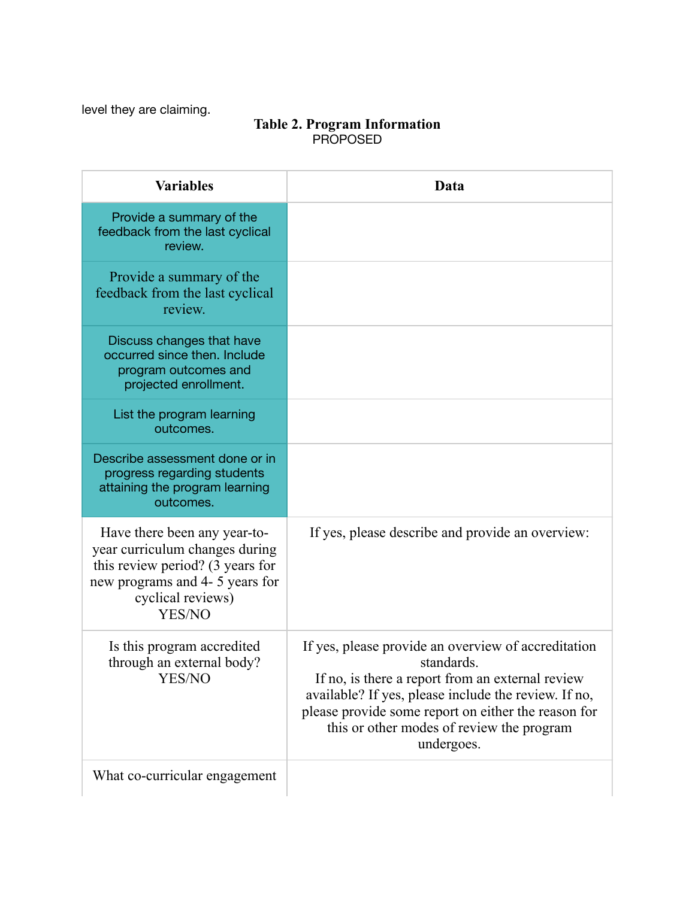level they are claiming.

#### **Table 2. Program Information** PROPOSED

| <b>Variables</b>                                                                                                                                                     | Data                                                                                                                                                                                                                                                                                            |
|----------------------------------------------------------------------------------------------------------------------------------------------------------------------|-------------------------------------------------------------------------------------------------------------------------------------------------------------------------------------------------------------------------------------------------------------------------------------------------|
| Provide a summary of the<br>feedback from the last cyclical<br>review.                                                                                               |                                                                                                                                                                                                                                                                                                 |
| Provide a summary of the<br>feedback from the last cyclical<br>review.                                                                                               |                                                                                                                                                                                                                                                                                                 |
| Discuss changes that have<br>occurred since then. Include<br>program outcomes and<br>projected enrollment.                                                           |                                                                                                                                                                                                                                                                                                 |
| List the program learning<br>outcomes.                                                                                                                               |                                                                                                                                                                                                                                                                                                 |
| Describe assessment done or in<br>progress regarding students<br>attaining the program learning<br>outcomes.                                                         |                                                                                                                                                                                                                                                                                                 |
| Have there been any year-to-<br>year curriculum changes during<br>this review period? (3 years for<br>new programs and 4- 5 years for<br>cyclical reviews)<br>YES/NO | If yes, please describe and provide an overview:                                                                                                                                                                                                                                                |
| Is this program accredited<br>through an external body?<br>YES/NO                                                                                                    | If yes, please provide an overview of accreditation<br>standards.<br>If no, is there a report from an external review<br>available? If yes, please include the review. If no,<br>please provide some report on either the reason for<br>this or other modes of review the program<br>undergoes. |
| What co-curricular engagement                                                                                                                                        |                                                                                                                                                                                                                                                                                                 |